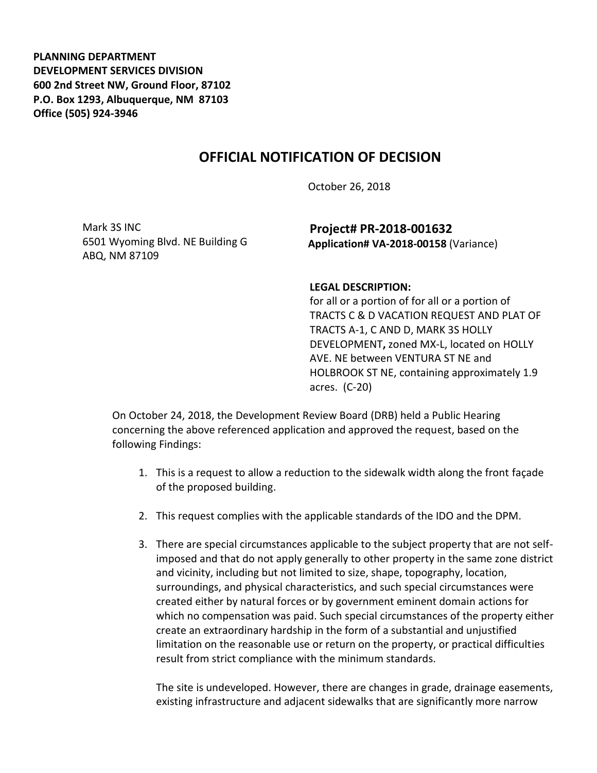**PLANNING DEPARTMENT DEVELOPMENT SERVICES DIVISION 600 2nd Street NW, Ground Floor, 87102 P.O. Box 1293, Albuquerque, NM 87103 Office (505) 924-3946** 

## **OFFICIAL NOTIFICATION OF DECISION**

October 26, 2018

Mark 3S INC 6501 Wyoming Blvd. NE Building G ABQ, NM 87109

**Project# PR-2018-001632 Application# VA-2018-00158** (Variance)

## **LEGAL DESCRIPTION:**

for all or a portion of for all or a portion of TRACTS C & D VACATION REQUEST AND PLAT OF TRACTS A-1, C AND D, MARK 3S HOLLY DEVELOPMENT**,** zoned MX-L, located on HOLLY AVE. NE between VENTURA ST NE and HOLBROOK ST NE, containing approximately 1.9 acres. (C-20)

On October 24, 2018, the Development Review Board (DRB) held a Public Hearing concerning the above referenced application and approved the request, based on the following Findings:

- 1. This is a request to allow a reduction to the sidewalk width along the front façade of the proposed building.
- 2. This request complies with the applicable standards of the IDO and the DPM.
- 3. There are special circumstances applicable to the subject property that are not selfimposed and that do not apply generally to other property in the same zone district and vicinity, including but not limited to size, shape, topography, location, surroundings, and physical characteristics, and such special circumstances were created either by natural forces or by government eminent domain actions for which no compensation was paid. Such special circumstances of the property either create an extraordinary hardship in the form of a substantial and unjustified limitation on the reasonable use or return on the property, or practical difficulties result from strict compliance with the minimum standards.

The site is undeveloped. However, there are changes in grade, drainage easements, existing infrastructure and adjacent sidewalks that are significantly more narrow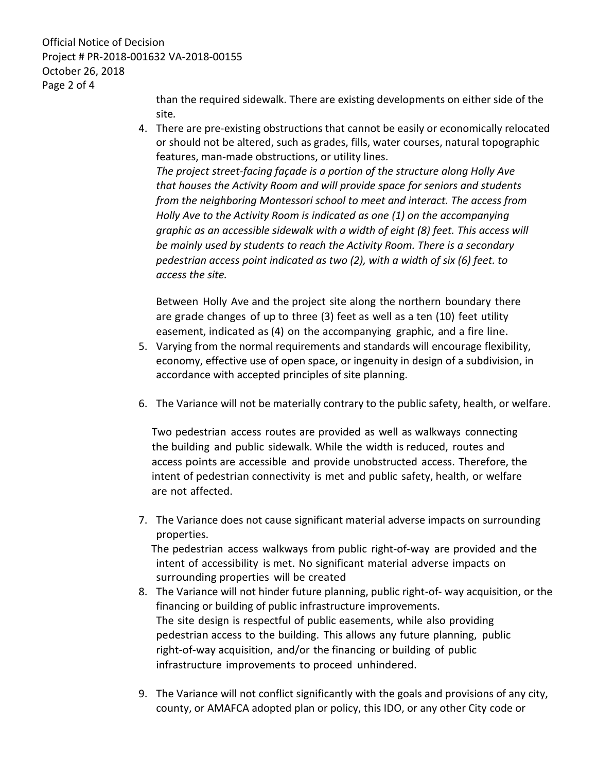Official Notice of Decision Project # PR-2018-001632 VA-2018-00155 October 26, 2018 Page 2 of 4

> than the required sidewalk. There are existing developments on either side of the site*.*

4. There are pre-existing obstructions that cannot be easily or economically relocated or should not be altered, such as grades, fills, water courses, natural topographic features, man-made obstructions, or utility lines. *The project street-facing façade is a portion of the structure along Holly Ave that houses the Activity Room and will provide space for seniors and students from the neighboring Montessori school to meet and interact. The access from Holly Ave to the Activity Room is indicated as one (1) on the accompanying graphic as an accessible sidewalk with a width of eight (8) feet. This access will be mainly used by students to reach the Activity Room. There is a secondary pedestrian access point indicated as two (2), with a width of six (6) feet. to access the site.*

Between Holly Ave and the project site along the northern boundary there are grade changes of up to three (3) feet as well as a ten (10) feet utility easement, indicated as (4) on the accompanying graphic, and a fire line.

- 5. Varying from the normal requirements and standards will encourage flexibility, economy, effective use of open space, or ingenuity in design of a subdivision, in accordance with accepted principles of site planning.
- 6. The Variance will not be materially contrary to the public safety, health, or welfare.

Two pedestrian access routes are provided as well as walkways connecting the building and public sidewalk. While the width is reduced, routes and access points are accessible and provide unobstructed access. Therefore, the intent of pedestrian connectivity is met and public safety, health, or welfare are not affected.

7. The Variance does not cause significant material adverse impacts on surrounding properties.

The pedestrian access walkways from public right-of-way are provided and the intent of accessibility is met. No significant material adverse impacts on surrounding properties will be created

- 8. The Variance will not hinder future planning, public right-of- way acquisition, or the financing or building of public infrastructure improvements. The site design is respectful of public easements, while also providing pedestrian access to the building. This allows any future planning, public right-of-way acquisition, and/or the financing or building of public infrastructure improvements to proceed unhindered.
- 9. The Variance will not conflict significantly with the goals and provisions of any city, county, or AMAFCA adopted plan or policy, this IDO, or any other City code or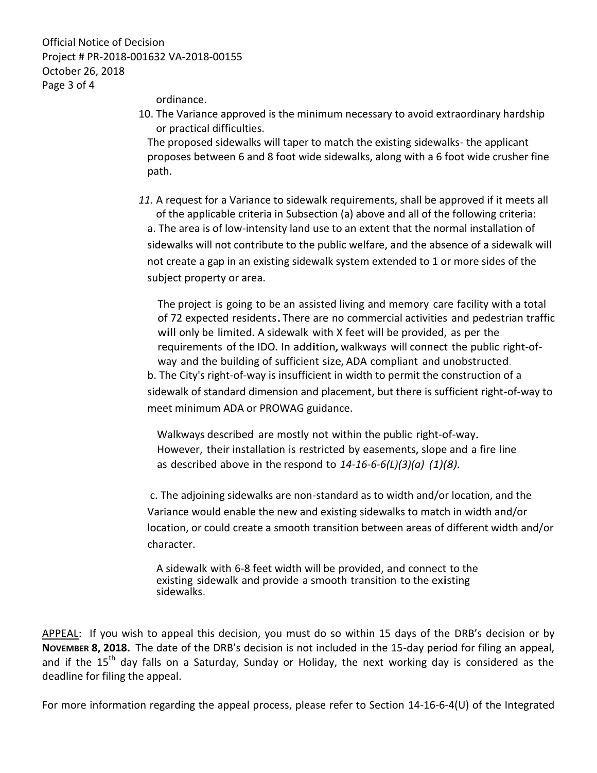Official Notice of Decision Project # PR-2018-001632 VA-2018-00155 October 26, 2018 Page 3 of 4

ordinance.

10. The Variance approved is the minimum necessary to avoid extraordinary hardship or practical difficulties.

The proposed sidewalks will taper to match the existing sidewalks- the applicant proposes between 6 and 8 foot wide sidewalks, along with a 6 foot wide crusher fine path.

*11.* A request for a Variance to sidewalk requirements, shall be approved if it meets all of the applicable criteria in Subsection (a) above and all of the following criteria: a. The area is of low-intensity land use to an extent that the normal installation of sidewalks will not contribute to the public welfare, and the absence of a sidewalk will not create a gap in an existing sidewalk system extended to 1 or more sides of the subject property or area.

The project is going to be an assisted living and memory care facility with a total of <sup>72</sup> expected residents.There are no commercial activities and pedestrian traffic will only be limited. <sup>A</sup> sidewalk with <sup>X</sup> feet will be provided, as per the requirements of the IDO. In addition, walkways will connect the public right-ofway and the building of sufficient size, ADA compliant and unobstructed. b. The City's right-of-way is insufficient in width to permit the construction of a

sidewalk of standard dimension and placement, but there is sufficient right-of-way to meet minimum ADA or PROWAG guidance.

Walkways described are mostly not within the public right-of-way. However, their installation is restricted by easements, slope and a fire line as described above in the respond to *14-16-6-6(L)(3)(a) (1)(8).*

c. The adjoining sidewalks are non-standard as to width and/or location, and the Variance would enable the new and existing sidewalks to match in width and/or location, or could create a smooth transition between areas of different width and/or character.

A sidewalk with 6-8 feet width will be provided, and connect to the existing sidewalk and provide <sup>a</sup> smooth transition to the existing sidewalks.

APPEAL: If you wish to appeal this decision, you must do so within 15 days of the DRB's decision or by **NOVEMBER 8, 2018.** The date of the DRB's decision is not included in the 15-day period for filing an appeal, and if the  $15<sup>th</sup>$  day falls on a Saturday, Sunday or Holiday, the next working day is considered as the deadline for filing the appeal.

For more information regarding the appeal process, please refer to Section 14-16-6-4(U) of the Integrated